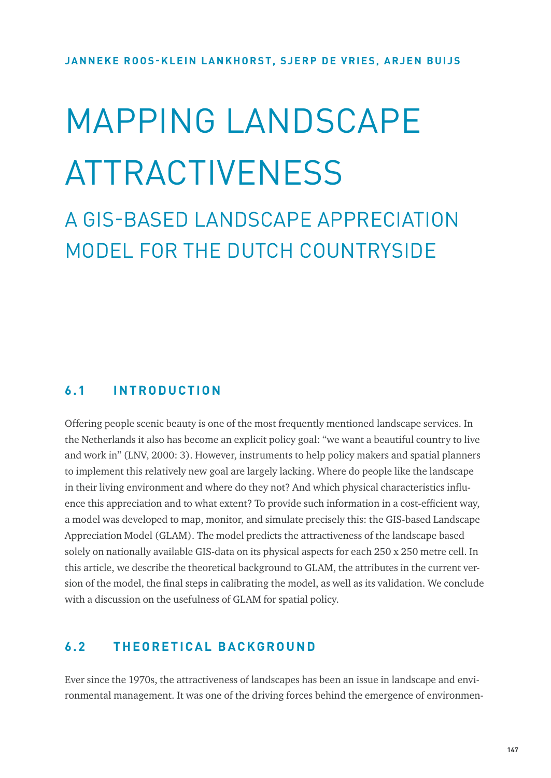# MAPPING | ANDSCAPE ATTRACTIVENESS

A GIS-BASED LANDSCAPE APPRECIATION MODEL FOR THE DUTCH COUNTRYSIDE

## **6.1 INTRODUCTION**

Offering people scenic beauty is one of the most frequently mentioned landscape services. In the Netherlands it also has become an explicit policy goal: "we want a beautiful country to live and work in" (LNV, 2000: 3). However, instruments to help policy makers and spatial planners to implement this relatively new goal are largely lacking. Where do people like the landscape in their living environment and where do they not? And which physical characteristics influence this appreciation and to what extent? To provide such information in a cost-efficient way, a model was developed to map, monitor, and simulate precisely this: the GIS-based Landscape Appreciation Model (GLAM). The model predicts the attractiveness of the landscape based solely on nationally available GIS-data on its physical aspects for each 250 x 250 metre cell. In this article, we describe the theoretical background to GLAM, the attributes in the current version of the model, the final steps in calibrating the model, as well as its validation. We conclude with a discussion on the usefulness of GLAM for spatial policy.

# **6.2 THEORETICAL BACKGROUND**

Ever since the 1970s, the attractiveness of landscapes has been an issue in landscape and environmental management. It was one of the driving forces behind the emergence of environmen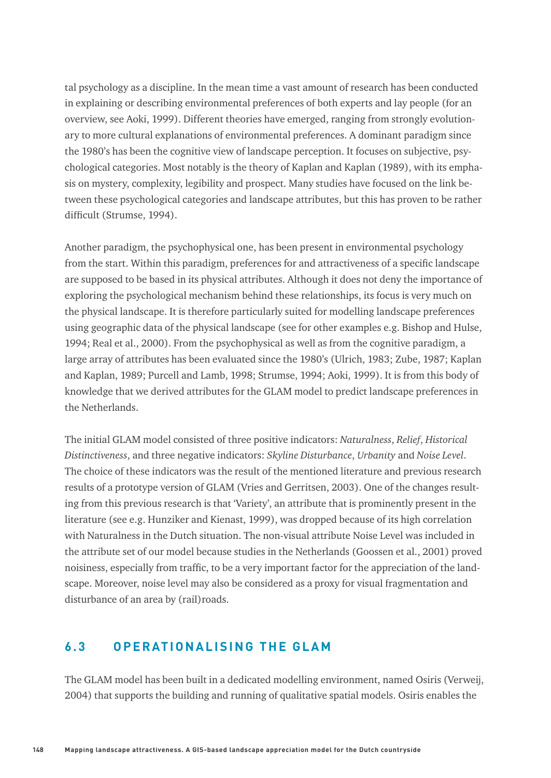tal psychology as a discipline. In the mean time a vast amount of research has been conducted in explaining or describing environmental preferences of both experts and lay people (for an overview, see Aoki, 1999). Different theories have emerged, ranging from strongly evolutionary to more cultural explanations of environmental preferences. A dominant paradigm since the 1980's has been the cognitive view of landscape perception. It focuses on subjective, psychological categories. Most notably is the theory of Kaplan and Kaplan (1989), with its emphasis on mystery, complexity, legibility and prospect. Many studies have focused on the link between these psychological categories and landscape attributes, but this has proven to be rather difficult (Strumse, 1994).

Another paradigm, the psychophysical one, has been present in environmental psychology from the start. Within this paradigm, preferences for and attractiveness of a specific landscape are supposed to be based in its physical attributes. Although it does not deny the importance of exploring the psychological mechanism behind these relationships, its focus is very much on the physical landscape. It is therefore particularly suited for modelling landscape preferences using geographic data of the physical landscape (see for other examples e.g. Bishop and Hulse, 1994; Real et al., 2000). From the psychophysical as well as from the cognitive paradigm, a large array of attributes has been evaluated since the 1980's (Ulrich, 1983; Zube, 1987; Kaplan and Kaplan, 1989; Purcell and Lamb, 1998; Strumse, 1994; Aoki, 1999). It is from this body of knowledge that we derived attributes for the GLAM model to predict landscape preferences in the Netherlands.

The initial GLAM model consisted of three positive indicators: *Naturalness*, *Relief*, *Historical Distinctiveness*, and three negative indicators: *Skyline Disturbance*, *Urbanity* and *Noise Level*. The choice of these indicators was the result of the mentioned literature and previous research results of a prototype version of GLAM (Vries and Gerritsen, 2003). One of the changes resulting from this previous research is that 'Variety', an attribute that is prominently present in the literature (see e.g. Hunziker and Kienast, 1999), was dropped because of its high correlation with Naturalness in the Dutch situation. The non-visual attribute Noise Level was included in the attribute set of our model because studies in the Netherlands (Goossen et al., 2001) proved noisiness, especially from traffic, to be a very important factor for the appreciation of the landscape. Moreover, noise level may also be considered as a proxy for visual fragmentation and disturbance of an area by (rail)roads.

# **6.3 OPERATIONALISING THE GLAM**

The GLAM model has been built in a dedicated modelling environment, named Osiris (Verweij, 2004) that supports the building and running of qualitative spatial models. Osiris enables the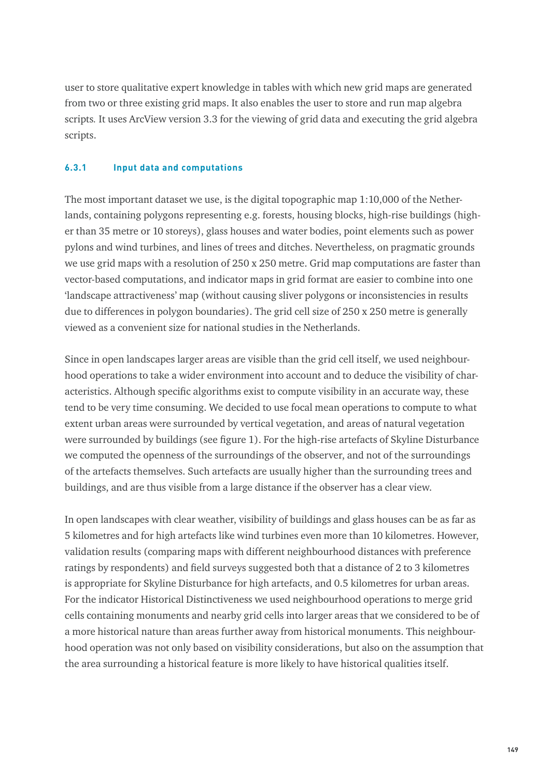user to store qualitative expert knowledge in tables with which new grid maps are generated from two or three existing grid maps. It also enables the user to store and run map algebra scripts*.* It uses ArcView version 3.3 for the viewing of grid data and executing the grid algebra scripts.

## **6.3.1 Input data and computations**

The most important dataset we use, is the digital topographic map 1:10,000 of the Netherlands, containing polygons representing e.g. forests, housing blocks, high-rise buildings (higher than 35 metre or 10 storeys), glass houses and water bodies, point elements such as power pylons and wind turbines, and lines of trees and ditches. Nevertheless, on pragmatic grounds we use grid maps with a resolution of 250 x 250 metre. Grid map computations are faster than vector-based computations, and indicator maps in grid format are easier to combine into one 'landscape attractiveness' map (without causing sliver polygons or inconsistencies in results due to differences in polygon boundaries). The grid cell size of 250 x 250 metre is generally viewed as a convenient size for national studies in the Netherlands.

Since in open landscapes larger areas are visible than the grid cell itself, we used neighbourhood operations to take a wider environment into account and to deduce the visibility of characteristics. Although specific algorithms exist to compute visibility in an accurate way, these tend to be very time consuming. We decided to use focal mean operations to compute to what extent urban areas were surrounded by vertical vegetation, and areas of natural vegetation were surrounded by buildings (see figure 1). For the high-rise artefacts of Skyline Disturbance we computed the openness of the surroundings of the observer, and not of the surroundings of the artefacts themselves. Such artefacts are usually higher than the surrounding trees and buildings, and are thus visible from a large distance if the observer has a clear view.

In open landscapes with clear weather, visibility of buildings and glass houses can be as far as 5 kilometres and for high artefacts like wind turbines even more than 10 kilometres. However, validation results (comparing maps with different neighbourhood distances with preference ratings by respondents) and field surveys suggested both that a distance of 2 to 3 kilometres is appropriate for Skyline Disturbance for high artefacts, and 0.5 kilometres for urban areas. For the indicator Historical Distinctiveness we used neighbourhood operations to merge grid cells containing monuments and nearby grid cells into larger areas that we considered to be of a more historical nature than areas further away from historical monuments. This neighbourhood operation was not only based on visibility considerations, but also on the assumption that the area surrounding a historical feature is more likely to have historical qualities itself.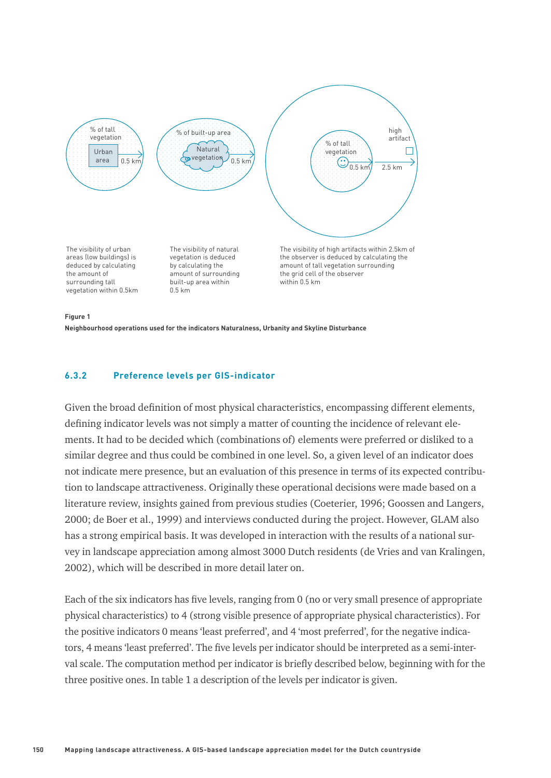

#### **Figure 1**

**Neighbourhood operations used for the indicators Naturalness, Urbanity and Skyline Disturbance**

### **6.3.2 Preference levels per GIS-indicator**

Given the broad definition of most physical characteristics, encompassing different elements, defining indicator levels was not simply a matter of counting the incidence of relevant elements. It had to be decided which (combinations of) elements were preferred or disliked to a similar degree and thus could be combined in one level. So, a given level of an indicator does not indicate mere presence, but an evaluation of this presence in terms of its expected contribution to landscape attractiveness. Originally these operational decisions were made based on a literature review, insights gained from previous studies (Coeterier, 1996; Goossen and Langers, 2000; de Boer et al., 1999) and interviews conducted during the project. However, GLAM also has a strong empirical basis. It was developed in interaction with the results of a national survey in landscape appreciation among almost 3000 Dutch residents (de Vries and van Kralingen, 2002), which will be described in more detail later on.

Each of the six indicators has five levels, ranging from 0 (no or very small presence of appropriate physical characteristics) to 4 (strong visible presence of appropriate physical characteristics). For the positive indicators 0 means 'least preferred', and 4 'most preferred', for the negative indicators, 4 means 'least preferred'. The five levels per indicator should be interpreted as a semi-interval scale. The computation method per indicator is briefly described below, beginning with for the three positive ones. In table 1 a description of the levels per indicator is given.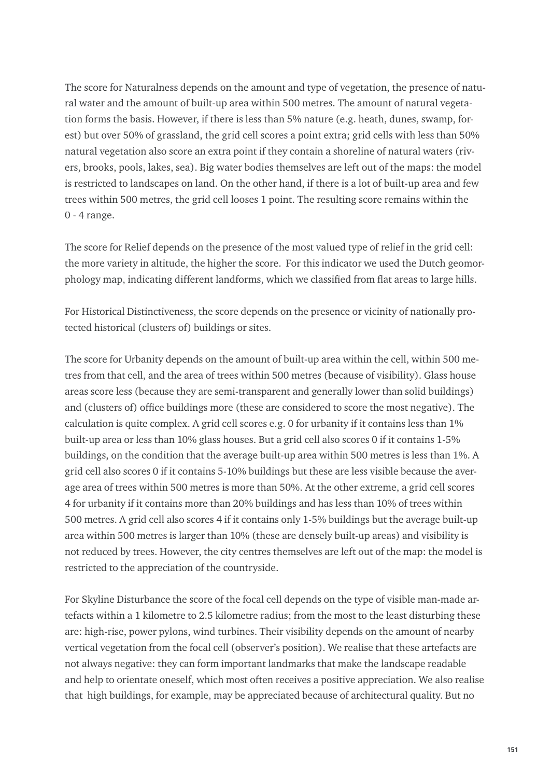The score for Naturalness depends on the amount and type of vegetation, the presence of natural water and the amount of built-up area within 500 metres. The amount of natural vegetation forms the basis. However, if there is less than 5% nature (e.g. heath, dunes, swamp, forest) but over 50% of grassland, the grid cell scores a point extra; grid cells with less than 50% natural vegetation also score an extra point if they contain a shoreline of natural waters (rivers, brooks, pools, lakes, sea). Big water bodies themselves are left out of the maps: the model is restricted to landscapes on land. On the other hand, if there is a lot of built-up area and few trees within 500 metres, the grid cell looses 1 point. The resulting score remains within the 0 - 4 range.

The score for Relief depends on the presence of the most valued type of relief in the grid cell: the more variety in altitude, the higher the score. For this indicator we used the Dutch geomorphology map, indicating different landforms, which we classified from flat areas to large hills.

For Historical Distinctiveness, the score depends on the presence or vicinity of nationally protected historical (clusters of) buildings or sites.

The score for Urbanity depends on the amount of built-up area within the cell, within 500 metres from that cell, and the area of trees within 500 metres (because of visibility). Glass house areas score less (because they are semi-transparent and generally lower than solid buildings) and (clusters of) office buildings more (these are considered to score the most negative). The calculation is quite complex. A grid cell scores e.g. 0 for urbanity if it contains less than 1% built-up area or less than 10% glass houses. But a grid cell also scores 0 if it contains 1-5% buildings, on the condition that the average built-up area within 500 metres is less than 1%. A grid cell also scores 0 if it contains 5-10% buildings but these are less visible because the average area of trees within 500 metres is more than 50%. At the other extreme, a grid cell scores 4 for urbanity if it contains more than 20% buildings and has less than 10% of trees within 500 metres. A grid cell also scores 4 if it contains only 1-5% buildings but the average built-up area within 500 metres is larger than 10% (these are densely built-up areas) and visibility is not reduced by trees. However, the city centres themselves are left out of the map: the model is restricted to the appreciation of the countryside.

For Skyline Disturbance the score of the focal cell depends on the type of visible man-made artefacts within a 1 kilometre to 2.5 kilometre radius; from the most to the least disturbing these are: high-rise, power pylons, wind turbines. Their visibility depends on the amount of nearby vertical vegetation from the focal cell (observer's position). We realise that these artefacts are not always negative: they can form important landmarks that make the landscape readable and help to orientate oneself, which most often receives a positive appreciation. We also realise that high buildings, for example, may be appreciated because of architectural quality. But no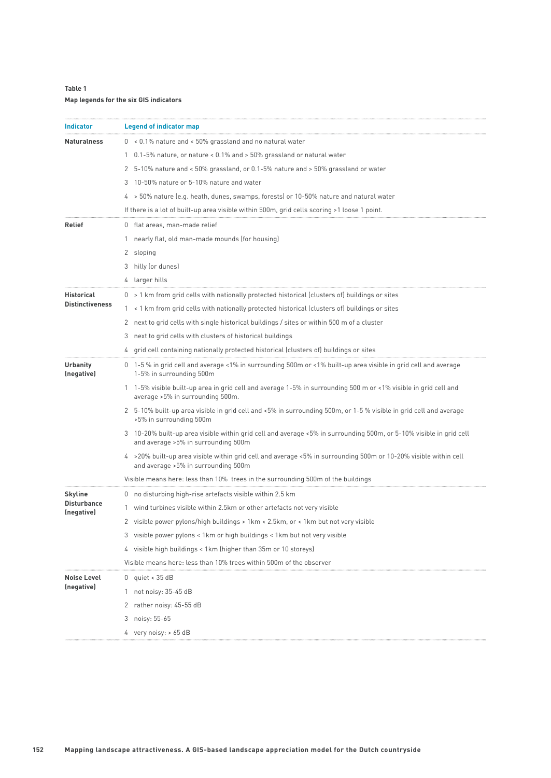## **Table 1**

## **Map legends for the six GIS indicators**

| <b>Indicator</b>                            | <b>Legend of indicator map</b>                                                                                                                            |  |  |  |  |
|---------------------------------------------|-----------------------------------------------------------------------------------------------------------------------------------------------------------|--|--|--|--|
| <b>Naturalness</b>                          | 0 < 0.1% nature and < 50% grassland and no natural water                                                                                                  |  |  |  |  |
|                                             | 1 0.1-5% nature, or nature < 0.1% and > 50% grassland or natural water                                                                                    |  |  |  |  |
|                                             | 2 5-10% nature and < 50% grassland, or 0.1-5% nature and > 50% grassland or water                                                                         |  |  |  |  |
|                                             | 3 10-50% nature or 5-10% nature and water                                                                                                                 |  |  |  |  |
|                                             | 4 > 50% nature (e.g. heath, dunes, swamps, forests) or 10-50% nature and natural water                                                                    |  |  |  |  |
|                                             | If there is a lot of built-up area visible within 500m, grid cells scoring >1 loose 1 point.                                                              |  |  |  |  |
| Relief                                      | 0 flat areas, man-made relief                                                                                                                             |  |  |  |  |
|                                             | 1 nearly flat, old man-made mounds (for housing)                                                                                                          |  |  |  |  |
|                                             | 2 sloping                                                                                                                                                 |  |  |  |  |
|                                             | 3 hilly (or dunes)                                                                                                                                        |  |  |  |  |
|                                             | 4 larger hills                                                                                                                                            |  |  |  |  |
| <b>Historical</b><br><b>Distinctiveness</b> | 0 > 1 km from grid cells with nationally protected historical (clusters of) buildings or sites                                                            |  |  |  |  |
|                                             | 1 < 1 km from grid cells with nationally protected historical (clusters of) buildings or sites                                                            |  |  |  |  |
|                                             | 2 next to grid cells with single historical buildings / sites or within 500 m of a cluster                                                                |  |  |  |  |
|                                             | next to grid cells with clusters of historical buildings<br>3                                                                                             |  |  |  |  |
|                                             | grid cell containing nationally protected historical (clusters of) buildings or sites                                                                     |  |  |  |  |
| <b>Urbanity</b><br>(negative)               | 0 1-5 % in grid cell and average <1% in surrounding 500m or <1% built-up area visible in grid cell and average<br>1-5% in surrounding 500m                |  |  |  |  |
|                                             | 1 1-5% visible built-up area in grid cell and average 1-5% in surrounding 500 m or <1% visible in grid cell and<br>average > 5% in surrounding 500m.      |  |  |  |  |
|                                             | 2 5-10% built-up area visible in grid cell and <5% in surrounding 500m, or 1-5 % visible in grid cell and average<br>>5% in surrounding 500m              |  |  |  |  |
|                                             | 3 10-20% built-up area visible within grid cell and average <5% in surrounding 500m, or 5-10% visible in grid cell<br>and average >5% in surrounding 500m |  |  |  |  |
|                                             | 4 > 20% built-up area visible within grid cell and average <5% in surrounding 500m or 10-20% visible within cell<br>and average >5% in surrounding 500m   |  |  |  |  |
|                                             | Visible means here: less than 10% trees in the surrounding 500m of the buildings                                                                          |  |  |  |  |
| Skyline<br><b>Disturbance</b><br>(negative) | 0 no disturbing high-rise artefacts visible within 2.5 km                                                                                                 |  |  |  |  |
|                                             | 1 wind turbines visible within 2.5km or other artefacts not very visible                                                                                  |  |  |  |  |
|                                             | 2 visible power pylons/high buildings > 1km < 2.5km, or < 1km but not very visible                                                                        |  |  |  |  |
|                                             | 3 visible power pylons < 1km or high buildings < 1km but not very visible                                                                                 |  |  |  |  |
|                                             | 4 visible high buildings < 1km (higher than 35m or 10 storeys)                                                                                            |  |  |  |  |
|                                             | Visible means here: less than 10% trees within 500m of the observer                                                                                       |  |  |  |  |
| <b>Noise Level</b><br>(negative)            | 0 quiet < $35 dB$                                                                                                                                         |  |  |  |  |
|                                             | 1 not noisy: 35-45 dB                                                                                                                                     |  |  |  |  |
|                                             | 2 rather noisy: 45-55 dB                                                                                                                                  |  |  |  |  |
|                                             | noisy: 55-65<br>3                                                                                                                                         |  |  |  |  |
|                                             | 4 very noisy: $> 65$ dB                                                                                                                                   |  |  |  |  |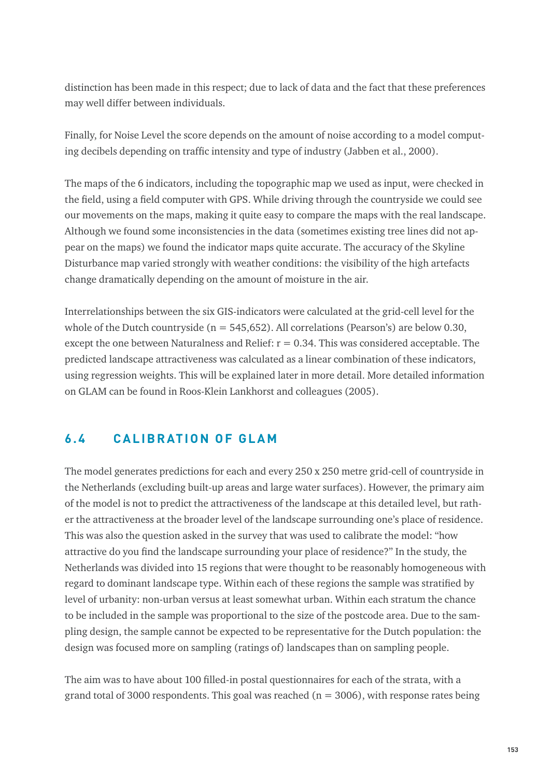distinction has been made in this respect; due to lack of data and the fact that these preferences may well differ between individuals.

Finally, for Noise Level the score depends on the amount of noise according to a model computing decibels depending on traffic intensity and type of industry (Jabben et al., 2000).

The maps of the 6 indicators, including the topographic map we used as input, were checked in the field, using a field computer with GPS. While driving through the countryside we could see our movements on the maps, making it quite easy to compare the maps with the real landscape. Although we found some inconsistencies in the data (sometimes existing tree lines did not appear on the maps) we found the indicator maps quite accurate. The accuracy of the Skyline Disturbance map varied strongly with weather conditions: the visibility of the high artefacts change dramatically depending on the amount of moisture in the air.

Interrelationships between the six GIS-indicators were calculated at the grid-cell level for the whole of the Dutch countryside ( $n = 545,652$ ). All correlations (Pearson's) are below 0.30, except the one between Naturalness and Relief:  $r = 0.34$ . This was considered acceptable. The predicted landscape attractiveness was calculated as a linear combination of these indicators, using regression weights. This will be explained later in more detail. More detailed information on GLAM can be found in Roos-Klein Lankhorst and colleagues (2005).

# **6 . 4 C A L I B R AT I O N O F G L A M**

The model generates predictions for each and every 250 x 250 metre grid-cell of countryside in the Netherlands (excluding built-up areas and large water surfaces). However, the primary aim of the model is not to predict the attractiveness of the landscape at this detailed level, but rather the attractiveness at the broader level of the landscape surrounding one's place of residence. This was also the question asked in the survey that was used to calibrate the model: "how attractive do you find the landscape surrounding your place of residence?" In the study, the Netherlands was divided into 15 regions that were thought to be reasonably homogeneous with regard to dominant landscape type. Within each of these regions the sample was stratified by level of urbanity: non-urban versus at least somewhat urban. Within each stratum the chance to be included in the sample was proportional to the size of the postcode area. Due to the sampling design, the sample cannot be expected to be representative for the Dutch population: the design was focused more on sampling (ratings of) landscapes than on sampling people.

The aim was to have about 100 filled-in postal questionnaires for each of the strata, with a grand total of 3000 respondents. This goal was reached  $(n = 3006)$ , with response rates being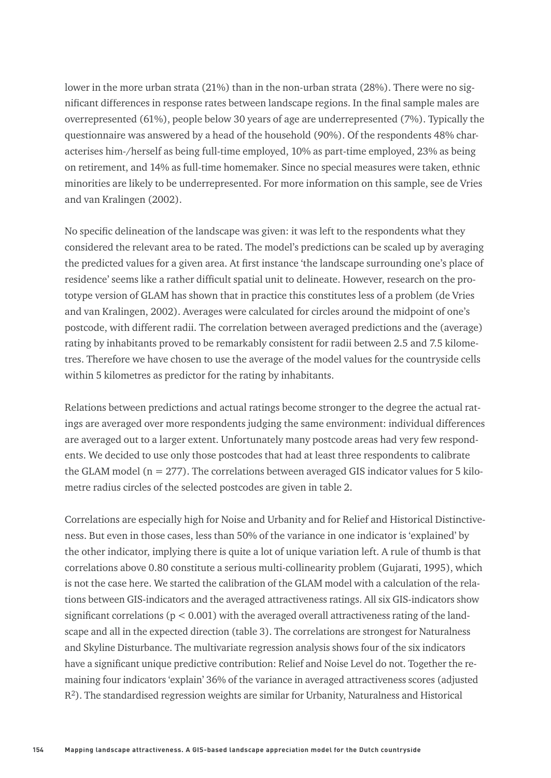lower in the more urban strata (21%) than in the non-urban strata (28%). There were no significant differences in response rates between landscape regions. In the final sample males are overrepresented (61%), people below 30 years of age are underrepresented (7%). Typically the questionnaire was answered by a head of the household (90%). Of the respondents 48% characterises him-/herself as being full-time employed, 10% as part-time employed, 23% as being on retirement, and 14% as full-time homemaker. Since no special measures were taken, ethnic minorities are likely to be underrepresented. For more information on this sample, see de Vries and van Kralingen (2002).

No specific delineation of the landscape was given: it was left to the respondents what they considered the relevant area to be rated. The model's predictions can be scaled up by averaging the predicted values for a given area. At first instance 'the landscape surrounding one's place of residence' seems like a rather difficult spatial unit to delineate. However, research on the prototype version of GLAM has shown that in practice this constitutes less of a problem (de Vries and van Kralingen, 2002). Averages were calculated for circles around the midpoint of one's postcode, with different radii. The correlation between averaged predictions and the (average) rating by inhabitants proved to be remarkably consistent for radii between 2.5 and 7.5 kilometres. Therefore we have chosen to use the average of the model values for the countryside cells within 5 kilometres as predictor for the rating by inhabitants.

Relations between predictions and actual ratings become stronger to the degree the actual ratings are averaged over more respondents judging the same environment: individual differences are averaged out to a larger extent. Unfortunately many postcode areas had very few respondents. We decided to use only those postcodes that had at least three respondents to calibrate the GLAM model ( $n = 277$ ). The correlations between averaged GIS indicator values for 5 kilometre radius circles of the selected postcodes are given in table 2.

Correlations are especially high for Noise and Urbanity and for Relief and Historical Distinctiveness. But even in those cases, less than 50% of the variance in one indicator is 'explained' by the other indicator, implying there is quite a lot of unique variation left. A rule of thumb is that correlations above 0.80 constitute a serious multi-collinearity problem (Gujarati, 1995), which is not the case here. We started the calibration of the GLAM model with a calculation of the relations between GIS-indicators and the averaged attractiveness ratings. All six GIS-indicators show significant correlations ( $p < 0.001$ ) with the averaged overall attractiveness rating of the landscape and all in the expected direction (table 3). The correlations are strongest for Naturalness and Skyline Disturbance. The multivariate regression analysis shows four of the six indicators have a significant unique predictive contribution: Relief and Noise Level do not. Together the remaining four indicators 'explain' 36% of the variance in averaged attractiveness scores (adjusted  $R<sup>2</sup>$ ). The standardised regression weights are similar for Urbanity, Naturalness and Historical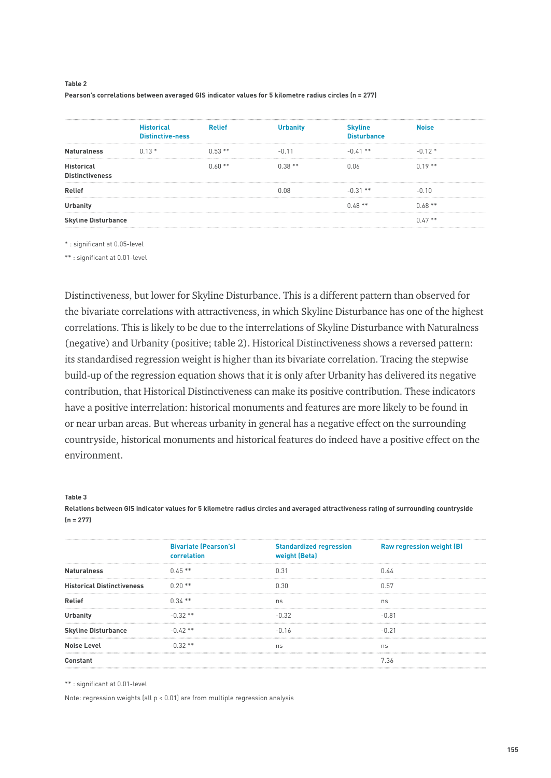#### **Table 2 Pearson's correlations between averaged GIS indicator values for 5 kilometre radius circles (n = 277)**

|                                             | <b>Historical</b><br><b>Distinctive-ness</b> | <b>Relief</b> | <b>Urbanity</b> | <b>Skyline</b><br><b>Disturbance</b> | Noise    |  |
|---------------------------------------------|----------------------------------------------|---------------|-----------------|--------------------------------------|----------|--|
| <b>Naturalness</b>                          | $0.13*$                                      | $0.53**$      | -0.11           | $-0.41$ **                           | $-0.12*$ |  |
| <b>Historical</b><br><b>Distinctiveness</b> |                                              | $0.60**$      | $0.38**$        | ነ በራ                                 | $0.19**$ |  |
| Relief                                      |                                              |               | n ng            | $-0.31$ **                           | -N 10    |  |
| Urbanity                                    |                                              |               |                 | $0.48**$                             | $0.68**$ |  |
| <b>Skyline Disturbance</b>                  |                                              |               |                 |                                      | $0.47**$ |  |

\* : significant at 0.05-level

\*\* : significant at 0.01-level

Distinctiveness, but lower for Skyline Disturbance. This is a different pattern than observed for the bivariate correlations with attractiveness, in which Skyline Disturbance has one of the highest correlations. This is likely to be due to the interrelations of Skyline Disturbance with Naturalness (negative) and Urbanity (positive; table 2). Historical Distinctiveness shows a reversed pattern: its standardised regression weight is higher than its bivariate correlation. Tracing the stepwise build-up of the regression equation shows that it is only after Urbanity has delivered its negative contribution, that Historical Distinctiveness can make its positive contribution. These indicators have a positive interrelation: historical monuments and features are more likely to be found in or near urban areas. But whereas urbanity in general has a negative effect on the surrounding countryside, historical monuments and historical features do indeed have a positive effect on the environment.

#### **Table 3**

**Relations between GIS indicator values for 5 kilometre radius circles and averaged attractiveness rating of surrounding countryside (n = 277)**

|                                   | <b>Bivariate (Pearson's)</b><br>correlation | <b>Standardized regression</b><br>weight (Beta) | <b>Raw regression weight (B)</b> |
|-----------------------------------|---------------------------------------------|-------------------------------------------------|----------------------------------|
| <b>Naturalness</b>                | $0.45**$                                    | 0.31                                            | በ 44                             |
| <b>Historical Distinctiveness</b> | $0.20**$                                    | U SU                                            | 0.57                             |
| Relief                            | $0.34**$                                    | ns                                              | ns                               |
| Urbanity                          | $-0.32**$                                   | $-0.32$                                         | -N 81                            |
| <b>Skyline Disturbance</b>        | $-0.42**$                                   | -N 16                                           |                                  |
| <b>Noise Level</b>                | $-0.32**$                                   | ns                                              | ns                               |
| Constant                          |                                             |                                                 | 7.36                             |
|                                   |                                             |                                                 |                                  |

\*\* : significant at 0.01-level

Note: regression weights (all p < 0.01) are from multiple regression analysis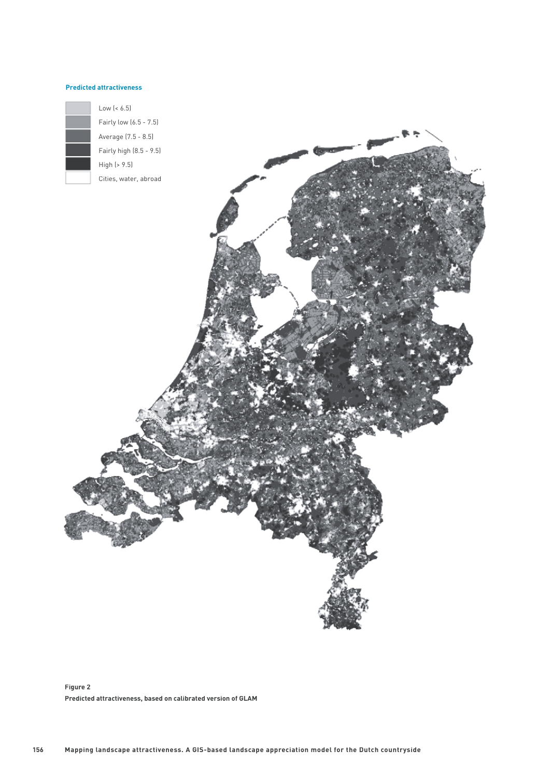#### **Predicted attractiveness**



Low (< 6.5) Fairly low (6.5 - 7.5)



**Figure 2 Predicted attractiveness, based on calibrated version of GLAM**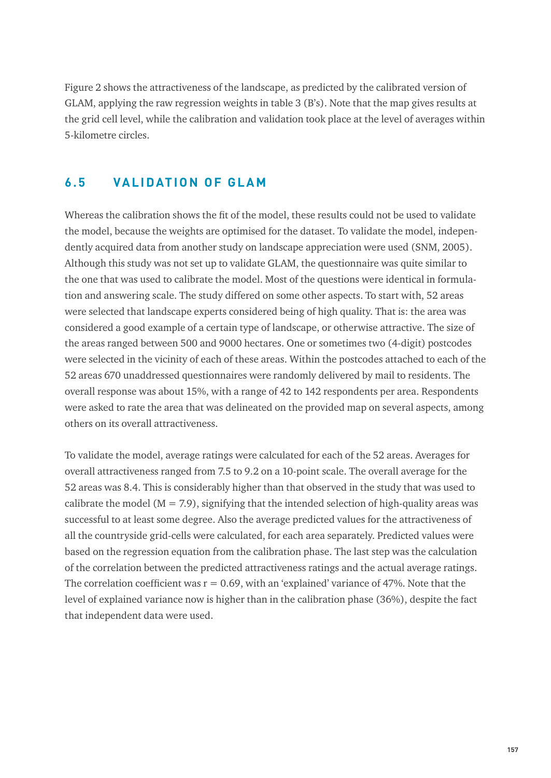Figure 2 shows the attractiveness of the landscape, as predicted by the calibrated version of GLAM, applying the raw regression weights in table 3 (B's). Note that the map gives results at the grid cell level, while the calibration and validation took place at the level of averages within 5-kilometre circles.

# **6.5 VALIDATION OF GLAM**

Whereas the calibration shows the fit of the model, these results could not be used to validate the model, because the weights are optimised for the dataset. To validate the model, independently acquired data from another study on landscape appreciation were used (SNM, 2005). Although this study was not set up to validate GLAM, the questionnaire was quite similar to the one that was used to calibrate the model. Most of the questions were identical in formulation and answering scale. The study differed on some other aspects. To start with, 52 areas were selected that landscape experts considered being of high quality. That is: the area was considered a good example of a certain type of landscape, or otherwise attractive. The size of the areas ranged between 500 and 9000 hectares. One or sometimes two (4-digit) postcodes were selected in the vicinity of each of these areas. Within the postcodes attached to each of the 52 areas 670 unaddressed questionnaires were randomly delivered by mail to residents. The overall response was about 15%, with a range of 42 to 142 respondents per area. Respondents were asked to rate the area that was delineated on the provided map on several aspects, among others on its overall attractiveness.

To validate the model, average ratings were calculated for each of the 52 areas. Averages for overall attractiveness ranged from 7.5 to 9.2 on a 10-point scale. The overall average for the 52 areas was 8.4. This is considerably higher than that observed in the study that was used to calibrate the model ( $M = 7.9$ ), signifying that the intended selection of high-quality areas was successful to at least some degree. Also the average predicted values for the attractiveness of all the countryside grid-cells were calculated, for each area separately. Predicted values were based on the regression equation from the calibration phase. The last step was the calculation of the correlation between the predicted attractiveness ratings and the actual average ratings. The correlation coefficient was  $r = 0.69$ , with an 'explained' variance of 47%. Note that the level of explained variance now is higher than in the calibration phase (36%), despite the fact that independent data were used.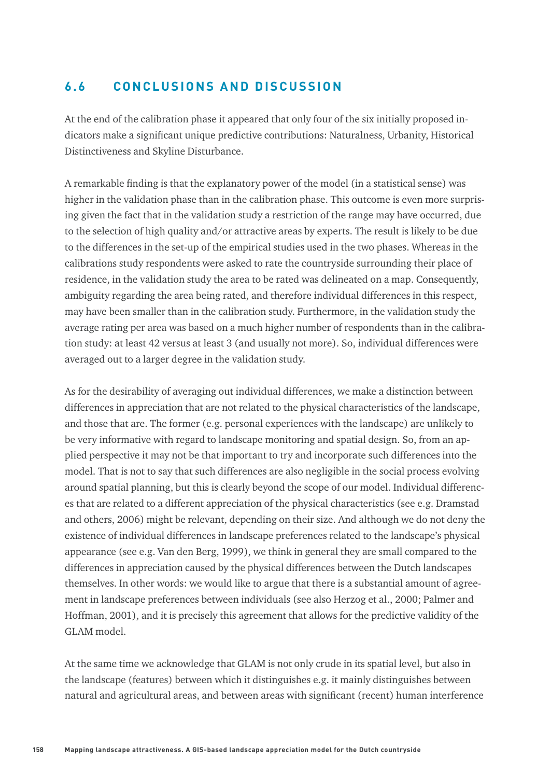# **6.6 CONCLUSIONS AND DISCUSSION**

At the end of the calibration phase it appeared that only four of the six initially proposed indicators make a significant unique predictive contributions: Naturalness, Urbanity, Historical Distinctiveness and Skyline Disturbance.

A remarkable finding is that the explanatory power of the model (in a statistical sense) was higher in the validation phase than in the calibration phase. This outcome is even more surprising given the fact that in the validation study a restriction of the range may have occurred, due to the selection of high quality and/or attractive areas by experts. The result is likely to be due to the differences in the set-up of the empirical studies used in the two phases. Whereas in the calibrations study respondents were asked to rate the countryside surrounding their place of residence, in the validation study the area to be rated was delineated on a map. Consequently, ambiguity regarding the area being rated, and therefore individual differences in this respect, may have been smaller than in the calibration study. Furthermore, in the validation study the average rating per area was based on a much higher number of respondents than in the calibration study: at least 42 versus at least 3 (and usually not more). So, individual differences were averaged out to a larger degree in the validation study.

As for the desirability of averaging out individual differences, we make a distinction between differences in appreciation that are not related to the physical characteristics of the landscape, and those that are. The former (e.g. personal experiences with the landscape) are unlikely to be very informative with regard to landscape monitoring and spatial design. So, from an applied perspective it may not be that important to try and incorporate such differences into the model. That is not to say that such differences are also negligible in the social process evolving around spatial planning, but this is clearly beyond the scope of our model. Individual differences that are related to a different appreciation of the physical characteristics (see e.g. Dramstad and others, 2006) might be relevant, depending on their size. And although we do not deny the existence of individual differences in landscape preferences related to the landscape's physical appearance (see e.g. Van den Berg, 1999), we think in general they are small compared to the differences in appreciation caused by the physical differences between the Dutch landscapes themselves. In other words: we would like to argue that there is a substantial amount of agreement in landscape preferences between individuals (see also Herzog et al., 2000; Palmer and Hoffman, 2001), and it is precisely this agreement that allows for the predictive validity of the GLAM model.

At the same time we acknowledge that GLAM is not only crude in its spatial level, but also in the landscape (features) between which it distinguishes e.g. it mainly distinguishes between natural and agricultural areas, and between areas with significant (recent) human interference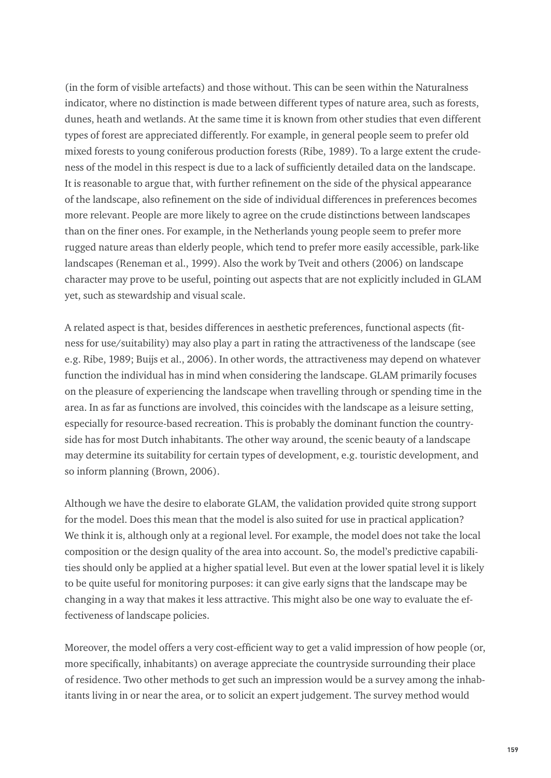(in the form of visible artefacts) and those without. This can be seen within the Naturalness indicator, where no distinction is made between different types of nature area, such as forests, dunes, heath and wetlands. At the same time it is known from other studies that even different types of forest are appreciated differently. For example, in general people seem to prefer old mixed forests to young coniferous production forests (Ribe, 1989). To a large extent the crudeness of the model in this respect is due to a lack of sufficiently detailed data on the landscape. It is reasonable to argue that, with further refinement on the side of the physical appearance of the landscape, also refinement on the side of individual differences in preferences becomes more relevant. People are more likely to agree on the crude distinctions between landscapes than on the finer ones. For example, in the Netherlands young people seem to prefer more rugged nature areas than elderly people, which tend to prefer more easily accessible, park-like landscapes (Reneman et al., 1999). Also the work by Tveit and others (2006) on landscape character may prove to be useful, pointing out aspects that are not explicitly included in GLAM yet, such as stewardship and visual scale.

A related aspect is that, besides differences in aesthetic preferences, functional aspects (fitness for use/suitability) may also play a part in rating the attractiveness of the landscape (see e.g. Ribe, 1989; Buijs et al., 2006). In other words, the attractiveness may depend on whatever function the individual has in mind when considering the landscape. GLAM primarily focuses on the pleasure of experiencing the landscape when travelling through or spending time in the area. In as far as functions are involved, this coincides with the landscape as a leisure setting, especially for resource-based recreation. This is probably the dominant function the countryside has for most Dutch inhabitants. The other way around, the scenic beauty of a landscape may determine its suitability for certain types of development, e.g. touristic development, and so inform planning (Brown, 2006).

Although we have the desire to elaborate GLAM, the validation provided quite strong support for the model. Does this mean that the model is also suited for use in practical application? We think it is, although only at a regional level. For example, the model does not take the local composition or the design quality of the area into account. So, the model's predictive capabilities should only be applied at a higher spatial level. But even at the lower spatial level it is likely to be quite useful for monitoring purposes: it can give early signs that the landscape may be changing in a way that makes it less attractive. This might also be one way to evaluate the effectiveness of landscape policies.

Moreover, the model offers a very cost-efficient way to get a valid impression of how people (or, more specifically, inhabitants) on average appreciate the countryside surrounding their place of residence. Two other methods to get such an impression would be a survey among the inhabitants living in or near the area, or to solicit an expert judgement. The survey method would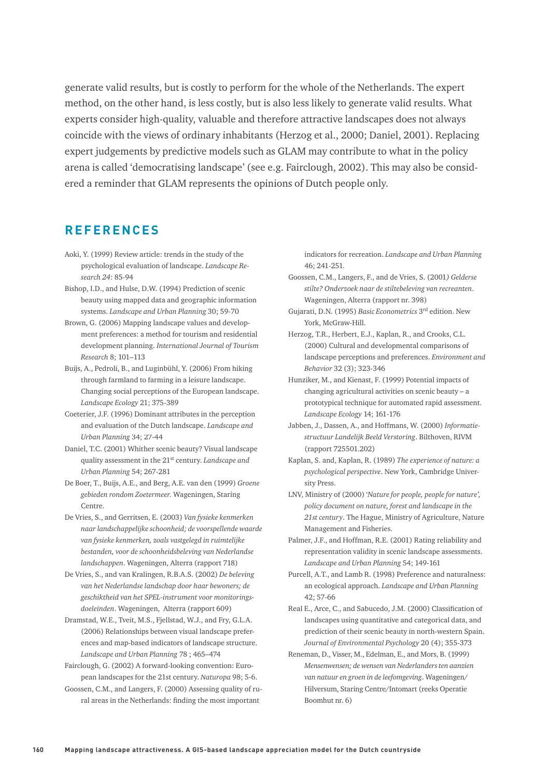generate valid results, but is costly to perform for the whole of the Netherlands. The expert method, on the other hand, is less costly, but is also less likely to generate valid results. What experts consider high-quality, valuable and therefore attractive landscapes does not always coincide with the views of ordinary inhabitants (Herzog et al., 2000; Daniel, 2001). Replacing expert judgements by predictive models such as GLAM may contribute to what in the policy arena is called 'democratising landscape' (see e.g. Fairclough, 2002). This may also be considered a reminder that GLAM represents the opinions of Dutch people only.

## **REFERENCES**

- Aoki, Y. (1999) Review article: trends in the study of the psychological evaluation of landscape. *Landscape Research 24*: 85-94
- Bishop, I.D., and Hulse, D.W. (1994) Prediction of scenic beauty using mapped data and geographic information systems. *Landscape and Urban Planning* 30; 59-70
- Brown, G. (2006) Mapping landscape values and development preferences: a method for tourism and residential development planning. *International Journal of Tourism Research* 8; 101–113
- Buijs, A., Pedroli, B., and Luginbühl, Y. (2006) From hiking through farmland to farming in a leisure landscape. Changing social perceptions of the European landscape. *Landscape Ecology* 21; 375-389
- Coeterier, J.F. (1996) Dominant attributes in the perception and evaluation of the Dutch landscape. *Landscape and Urban Planning* 34; 27-44
- Daniel, T.C. (2001) Whither scenic beauty? Visual landscape quality assessment in the 21st century. *Landscape and Urban Planning* 54; 267-281
- De Boer, T., Buijs, A.E., and Berg, A.E. van den (1999) *Groene gebieden rondom Zoetermeer.* Wageningen, Staring Centre.
- De Vries, S., and Gerritsen, E. (2003) *Van fysieke kenmerken naar landschappelijke schoonheid; de voorspellende waarde van fysieke kenmerken, zoals vastgelegd in ruimtelijke bestanden, voor de schoonheidsbeleving van Nederlandse landschappen*. Wageningen, Alterra (rapport 718)
- De Vries, S., and van Kralingen, R.B.A.S. (2002) *De beleving van het Nederlandse landschap door haar bewoners; de geschiktheid van het SPEL-instrument voor monitoringsdoeleinden*. Wageningen, Alterra (rapport 609)
- Dramstad, W.E., Tveit, M.S., Fjellstad, W.J., and Fry, G.L.A. (2006) Relationships between visual landscape preferences and map-based indicators of landscape structure. *Landscape and Urban Planning* 78 ; 465–474
- Fairclough, G. (2002) A forward-looking convention: European landscapes for the 21st century. *Naturopa* 98; 5-6.
- Goossen, C.M., and Langers, F. (2000) Assessing quality of rural areas in the Netherlands: finding the most important

indicators for recreation. *Landscape and Urban Planning*  46; 241-251.

- Goossen, C.M., Langers, F., and de Vries, S. (2001*) Gelderse stilte? Onderzoek naar de stiltebeleving van recreanten*. Wageningen, Alterra (rapport nr. 398)
- Gujarati, D.N. (1995) *Basic Econometrics* 3rd edition. New York, McGraw-Hill.
- Herzog, T.R., Herbert, E.J., Kaplan, R., and Crooks, C.L. (2000) Cultural and developmental comparisons of landscape perceptions and preferences. *Environment and Behavior* 32 (3); 323-346
- Hunziker, M., and Kienast, F. (1999) Potential impacts of changing agricultural activities on scenic beauty – a prototypical technique for automated rapid assessment. *Landscape Ecology* 14; 161-176
- Jabben, J., Dassen, A., and Hoffmans, W. (2000) *Informatiestructuur Landelijk Beeld Verstoring*. Bilthoven, RIVM (rapport 725501.202)
- Kaplan, S. and, Kaplan, R. (1989) *The experience of nature: a psychological perspective*. New York, Cambridge University Press.
- LNV, Ministry of (2000) '*Nature for people, people for nature', policy document on nature, forest and landscape in the 21st century*. The Hague, Ministry of Agriculture, Nature Management and Fisheries.
- Palmer, J.F., and Hoffman, R.E. (2001) Rating reliability and representation validity in scenic landscape assessments. *Landscape and Urban Planning* 54; 149-161
- Purcell, A.T., and Lamb R. (1998) Preference and naturalness: an ecological approach. *Landscape and Urban Planning*  42; 57-66
- Real E., Arce, C., and Sabucedo, J.M. (2000) Classification of landscapes using quantitative and categorical data, and prediction of their scenic beauty in north-western Spain. *Journal of Environmental Psychology* 20 (4); 355-373
- Reneman, D., Visser, M., Edelman, E., and Mors, B. (1999) *Mensenwensen; de wensen van Nederlanders ten aanzien van natuur en groen in de leefomgeving*. Wageningen/ Hilversum, Staring Centre/Intomart (reeks Operatie Boomhut nr. 6)